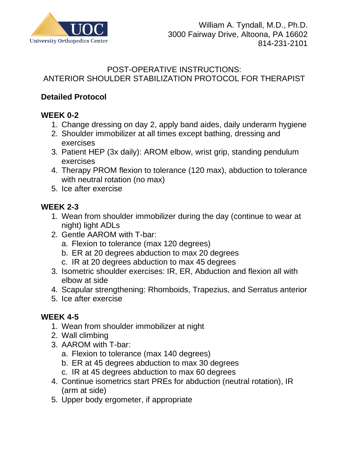

#### POST-OPERATIVE INSTRUCTIONS: ANTERIOR SHOULDER STABILIZATION PROTOCOL FOR THERAPIST

## **Detailed Protocol**

# **WEEK 0-2**

- 1. Change dressing on day 2, apply band aides, daily underarm hygiene
- 2. Shoulder immobilizer at all times except bathing, dressing and exercises
- 3. Patient HEP (3x daily): AROM elbow, wrist grip, standing pendulum exercises
- 4. Therapy PROM flexion to tolerance (120 max), abduction to tolerance with neutral rotation (no max)
- 5. Ice after exercise

### **WEEK 2-3**

- 1. Wean from shoulder immobilizer during the day (continue to wear at night) light ADLs
- 2. Gentle AAROM with T-bar:
	- a. Flexion to tolerance (max 120 degrees)
	- b. ER at 20 degrees abduction to max 20 degrees
	- c. IR at 20 degrees abduction to max 45 degrees
- 3. Isometric shoulder exercises: IR, ER, Abduction and flexion all with elbow at side
- 4. Scapular strengthening: Rhomboids, Trapezius, and Serratus anterior
- 5. Ice after exercise

### **WEEK 4-5**

- 1. Wean from shoulder immobilizer at night
- 2. Wall climbing
- 3. AAROM with T-bar:
	- a. Flexion to tolerance (max 140 degrees)
	- b. ER at 45 degrees abduction to max 30 degrees
	- c. IR at 45 degrees abduction to max 60 degrees
- 4. Continue isometrics start PREs for abduction (neutral rotation), IR (arm at side)
- 5. Upper body ergometer, if appropriate